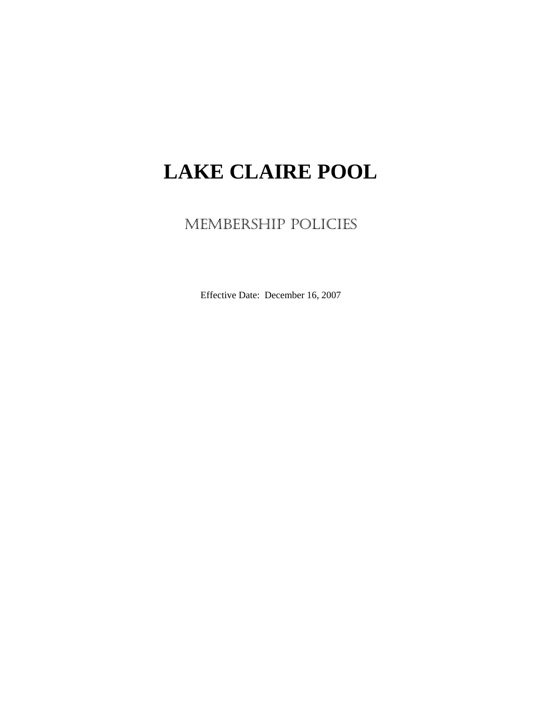# **LAKE CLAIRE POOL**

MEMBERSHIP POLICIES

Effective Date: December 16, 2007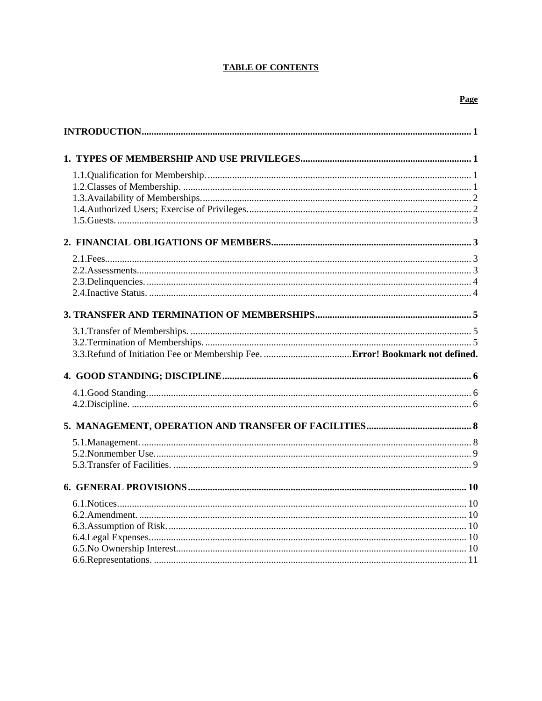# **TABLE OF CONTENTS**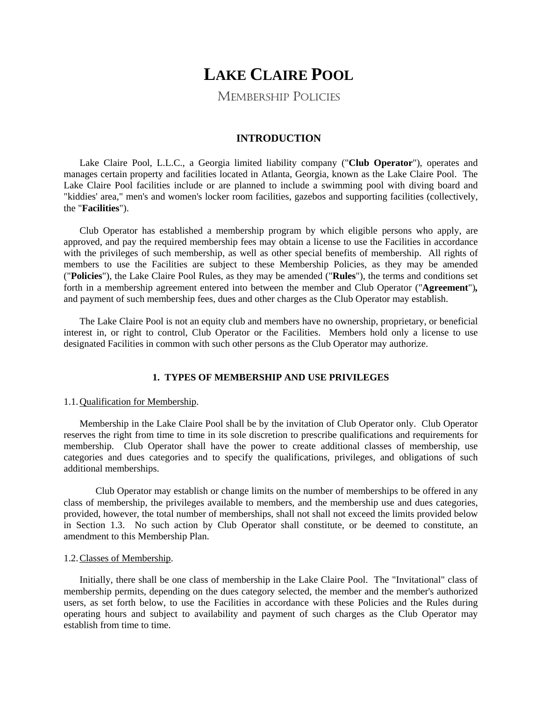# **LAKE CLAIRE POOL**

MEMBERSHIP POLICIES

# **INTRODUCTION**

Lake Claire Pool, L.L.C., a Georgia limited liability company ("**Club Operator**"), operates and manages certain property and facilities located in Atlanta, Georgia, known as the Lake Claire Pool. The Lake Claire Pool facilities include or are planned to include a swimming pool with diving board and "kiddies' area," men's and women's locker room facilities, gazebos and supporting facilities (collectively, the "**Facilities**").

Club Operator has established a membership program by which eligible persons who apply, are approved, and pay the required membership fees may obtain a license to use the Facilities in accordance with the privileges of such membership, as well as other special benefits of membership. All rights of members to use the Facilities are subject to these Membership Policies, as they may be amended ("**Policies**"), the Lake Claire Pool Rules, as they may be amended ("**Rules**"), the terms and conditions set forth in a membership agreement entered into between the member and Club Operator ("**Agreement**")*,* and payment of such membership fees, dues and other charges as the Club Operator may establish.

 The Lake Claire Pool is not an equity club and members have no ownership, proprietary, or beneficial interest in, or right to control, Club Operator or the Facilities. Members hold only a license to use designated Facilities in common with such other persons as the Club Operator may authorize.

# **1. TYPES OF MEMBERSHIP AND USE PRIVILEGES**

# 1.1. Qualification for Membership.

 Membership in the Lake Claire Pool shall be by the invitation of Club Operator only. Club Operator reserves the right from time to time in its sole discretion to prescribe qualifications and requirements for membership. Club Operator shall have the power to create additional classes of membership, use categories and dues categories and to specify the qualifications, privileges, and obligations of such additional memberships.

 Club Operator may establish or change limits on the number of memberships to be offered in any class of membership, the privileges available to members, and the membership use and dues categories, provided, however, the total number of memberships, shall not shall not exceed the limits provided below in Section 1.3. No such action by Club Operator shall constitute, or be deemed to constitute, an amendment to this Membership Plan.

# 1.2. Classes of Membership.

Initially, there shall be one class of membership in the Lake Claire Pool. The "Invitational" class of membership permits, depending on the dues category selected, the member and the member's authorized users, as set forth below, to use the Facilities in accordance with these Policies and the Rules during operating hours and subject to availability and payment of such charges as the Club Operator may establish from time to time.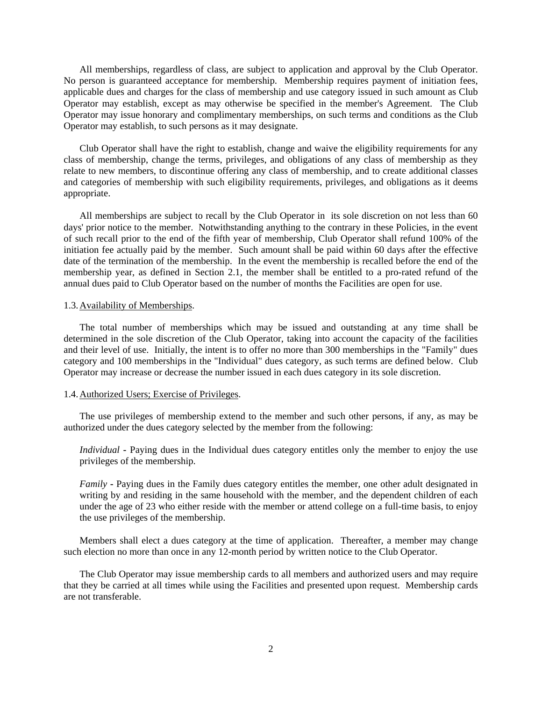All memberships, regardless of class, are subject to application and approval by the Club Operator. No person is guaranteed acceptance for membership. Membership requires payment of initiation fees, applicable dues and charges for the class of membership and use category issued in such amount as Club Operator may establish, except as may otherwise be specified in the member's Agreement. The Club Operator may issue honorary and complimentary memberships, on such terms and conditions as the Club Operator may establish, to such persons as it may designate.

Club Operator shall have the right to establish, change and waive the eligibility requirements for any class of membership, change the terms, privileges, and obligations of any class of membership as they relate to new members, to discontinue offering any class of membership, and to create additional classes and categories of membership with such eligibility requirements, privileges, and obligations as it deems appropriate.

All memberships are subject to recall by the Club Operator in its sole discretion on not less than 60 days' prior notice to the member. Notwithstanding anything to the contrary in these Policies, in the event of such recall prior to the end of the fifth year of membership, Club Operator shall refund 100% of the initiation fee actually paid by the member. Such amount shall be paid within 60 days after the effective date of the termination of the membership. In the event the membership is recalled before the end of the membership year, as defined in Section 2.1, the member shall be entitled to a pro-rated refund of the annual dues paid to Club Operator based on the number of months the Facilities are open for use.

# 1.3. Availability of Memberships.

The total number of memberships which may be issued and outstanding at any time shall be determined in the sole discretion of the Club Operator, taking into account the capacity of the facilities and their level of use. Initially, the intent is to offer no more than 300 memberships in the "Family" dues category and 100 memberships in the "Individual" dues category, as such terms are defined below. Club Operator may increase or decrease the number issued in each dues category in its sole discretion.

# 1.4. Authorized Users; Exercise of Privileges.

 The use privileges of membership extend to the member and such other persons, if any, as may be authorized under the dues category selected by the member from the following:

*Individual* **-** Paying dues in the Individual dues category entitles only the member to enjoy the use privileges of the membership.

*Family* **-** Paying dues in the Family dues category entitles the member, one other adult designated in writing by and residing in the same household with the member, and the dependent children of each under the age of 23 who either reside with the member or attend college on a full-time basis, to enjoy the use privileges of the membership.

 Members shall elect a dues category at the time of application. Thereafter, a member may change such election no more than once in any 12-month period by written notice to the Club Operator.

The Club Operator may issue membership cards to all members and authorized users and may require that they be carried at all times while using the Facilities and presented upon request. Membership cards are not transferable.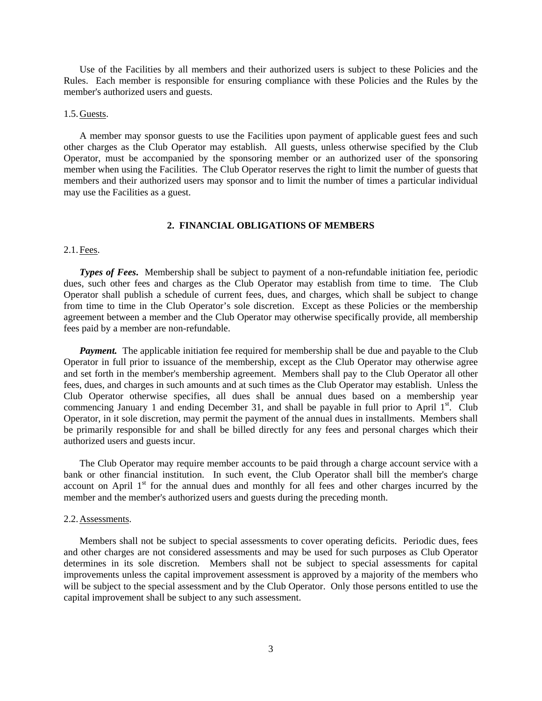Use of the Facilities by all members and their authorized users is subject to these Policies and the Rules. Each member is responsible for ensuring compliance with these Policies and the Rules by the member's authorized users and guests.

# 1.5. Guests.

A member may sponsor guests to use the Facilities upon payment of applicable guest fees and such other charges as the Club Operator may establish. All guests, unless otherwise specified by the Club Operator, must be accompanied by the sponsoring member or an authorized user of the sponsoring member when using the Facilities. The Club Operator reserves the right to limit the number of guests that members and their authorized users may sponsor and to limit the number of times a particular individual may use the Facilities as a guest.

# **2. FINANCIAL OBLIGATIONS OF MEMBERS**

# 2.1. Fees.

*Types of Fees***.** Membership shall be subject to payment of a non-refundable initiation fee, periodic dues, such other fees and charges as the Club Operator may establish from time to time. The Club Operator shall publish a schedule of current fees, dues, and charges, which shall be subject to change from time to time in the Club Operator's sole discretion. Except as these Policies or the membership agreement between a member and the Club Operator may otherwise specifically provide, all membership fees paid by a member are non-refundable.

*Payment.* The applicable initiation fee required for membership shall be due and payable to the Club Operator in full prior to issuance of the membership, except as the Club Operator may otherwise agree and set forth in the member's membership agreement. Members shall pay to the Club Operator all other fees, dues, and charges in such amounts and at such times as the Club Operator may establish. Unless the Club Operator otherwise specifies, all dues shall be annual dues based on a membership year commencing January 1 and ending December 31, and shall be payable in full prior to April  $1<sup>st</sup>$ . Club Operator, in it sole discretion, may permit the payment of the annual dues in installments. Members shall be primarily responsible for and shall be billed directly for any fees and personal charges which their authorized users and guests incur.

The Club Operator may require member accounts to be paid through a charge account service with a bank or other financial institution. In such event, the Club Operator shall bill the member's charge account on April 1<sup>st</sup> for the annual dues and monthly for all fees and other charges incurred by the member and the member's authorized users and guests during the preceding month.

#### 2.2. Assessments.

 Members shall not be subject to special assessments to cover operating deficits. Periodic dues, fees and other charges are not considered assessments and may be used for such purposes as Club Operator determines in its sole discretion. Members shall not be subject to special assessments for capital improvements unless the capital improvement assessment is approved by a majority of the members who will be subject to the special assessment and by the Club Operator. Only those persons entitled to use the capital improvement shall be subject to any such assessment.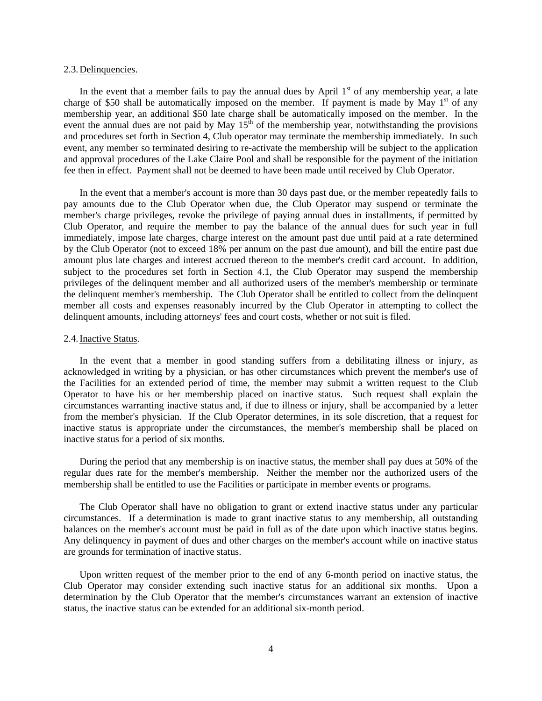# 2.3. Delinquencies.

In the event that a member fails to pay the annual dues by April  $1<sup>st</sup>$  of any membership year, a late charge of \$50 shall be automatically imposed on the member. If payment is made by May  $1<sup>st</sup>$  of any membership year, an additional \$50 late charge shall be automatically imposed on the member. In the event the annual dues are not paid by May  $15<sup>th</sup>$  of the membership year, notwithstanding the provisions and procedures set forth in Section 4, Club operator may terminate the membership immediately. In such event, any member so terminated desiring to re-activate the membership will be subject to the application and approval procedures of the Lake Claire Pool and shall be responsible for the payment of the initiation fee then in effect. Payment shall not be deemed to have been made until received by Club Operator.

In the event that a member's account is more than 30 days past due, or the member repeatedly fails to pay amounts due to the Club Operator when due, the Club Operator may suspend or terminate the member's charge privileges, revoke the privilege of paying annual dues in installments, if permitted by Club Operator, and require the member to pay the balance of the annual dues for such year in full immediately, impose late charges, charge interest on the amount past due until paid at a rate determined by the Club Operator (not to exceed 18% per annum on the past due amount), and bill the entire past due amount plus late charges and interest accrued thereon to the member's credit card account. In addition, subject to the procedures set forth in Section 4.1, the Club Operator may suspend the membership privileges of the delinquent member and all authorized users of the member's membership or terminate the delinquent member's membership. The Club Operator shall be entitled to collect from the delinquent member all costs and expenses reasonably incurred by the Club Operator in attempting to collect the delinquent amounts, including attorneys' fees and court costs, whether or not suit is filed.

#### 2.4. Inactive Status.

In the event that a member in good standing suffers from a debilitating illness or injury, as acknowledged in writing by a physician, or has other circumstances which prevent the member's use of the Facilities for an extended period of time, the member may submit a written request to the Club Operator to have his or her membership placed on inactive status. Such request shall explain the circumstances warranting inactive status and, if due to illness or injury, shall be accompanied by a letter from the member's physician. If the Club Operator determines, in its sole discretion, that a request for inactive status is appropriate under the circumstances, the member's membership shall be placed on inactive status for a period of six months.

 During the period that any membership is on inactive status, the member shall pay dues at 50% of the regular dues rate for the member's membership. Neither the member nor the authorized users of the membership shall be entitled to use the Facilities or participate in member events or programs.

The Club Operator shall have no obligation to grant or extend inactive status under any particular circumstances. If a determination is made to grant inactive status to any membership, all outstanding balances on the member's account must be paid in full as of the date upon which inactive status begins. Any delinquency in payment of dues and other charges on the member's account while on inactive status are grounds for termination of inactive status.

Upon written request of the member prior to the end of any 6-month period on inactive status, the Club Operator may consider extending such inactive status for an additional six months. Upon a determination by the Club Operator that the member's circumstances warrant an extension of inactive status, the inactive status can be extended for an additional six-month period.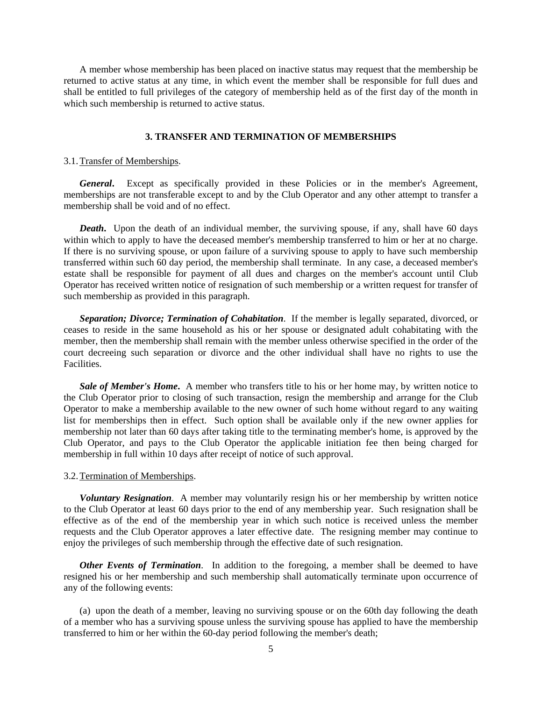A member whose membership has been placed on inactive status may request that the membership be returned to active status at any time, in which event the member shall be responsible for full dues and shall be entitled to full privileges of the category of membership held as of the first day of the month in which such membership is returned to active status.

# **3. TRANSFER AND TERMINATION OF MEMBERSHIPS**

#### 3.1. Transfer of Memberships.

General. Except as specifically provided in these Policies or in the member's Agreement, memberships are not transferable except to and by the Club Operator and any other attempt to transfer a membership shall be void and of no effect.

*Death*. Upon the death of an individual member, the surviving spouse, if any, shall have 60 days within which to apply to have the deceased member's membership transferred to him or her at no charge. If there is no surviving spouse, or upon failure of a surviving spouse to apply to have such membership transferred within such 60 day period, the membership shall terminate. In any case, a deceased member's estate shall be responsible for payment of all dues and charges on the member's account until Club Operator has received written notice of resignation of such membership or a written request for transfer of such membership as provided in this paragraph.

*Separation; Divorce; Termination of Cohabitation*. If the member is legally separated, divorced, or ceases to reside in the same household as his or her spouse or designated adult cohabitating with the member, then the membership shall remain with the member unless otherwise specified in the order of the court decreeing such separation or divorce and the other individual shall have no rights to use the Facilities.

*Sale of Member's Home***.** A member who transfers title to his or her home may, by written notice to the Club Operator prior to closing of such transaction, resign the membership and arrange for the Club Operator to make a membership available to the new owner of such home without regard to any waiting list for memberships then in effect. Such option shall be available only if the new owner applies for membership not later than 60 days after taking title to the terminating member's home, is approved by the Club Operator, and pays to the Club Operator the applicable initiation fee then being charged for membership in full within 10 days after receipt of notice of such approval.

#### 3.2. Termination of Memberships.

*Voluntary Resignation*. A member may voluntarily resign his or her membership by written notice to the Club Operator at least 60 days prior to the end of any membership year. Such resignation shall be effective as of the end of the membership year in which such notice is received unless the member requests and the Club Operator approves a later effective date. The resigning member may continue to enjoy the privileges of such membership through the effective date of such resignation.

*Other Events of Termination*. In addition to the foregoing, a member shall be deemed to have resigned his or her membership and such membership shall automatically terminate upon occurrence of any of the following events:

(a) upon the death of a member, leaving no surviving spouse or on the 60th day following the death of a member who has a surviving spouse unless the surviving spouse has applied to have the membership transferred to him or her within the 60-day period following the member's death;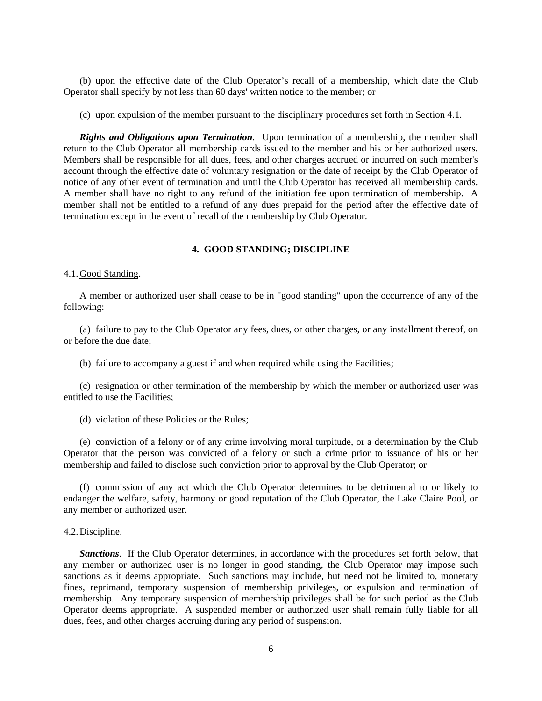(b) upon the effective date of the Club Operator's recall of a membership, which date the Club Operator shall specify by not less than 60 days' written notice to the member; or

(c) upon expulsion of the member pursuant to the disciplinary procedures set forth in Section 4.1.

*Rights and Obligations upon Termination*. Upon termination of a membership, the member shall return to the Club Operator all membership cards issued to the member and his or her authorized users. Members shall be responsible for all dues, fees, and other charges accrued or incurred on such member's account through the effective date of voluntary resignation or the date of receipt by the Club Operator of notice of any other event of termination and until the Club Operator has received all membership cards. A member shall have no right to any refund of the initiation fee upon termination of membership. A member shall not be entitled to a refund of any dues prepaid for the period after the effective date of termination except in the event of recall of the membership by Club Operator.

# **4. GOOD STANDING; DISCIPLINE**

# 4.1. Good Standing.

A member or authorized user shall cease to be in "good standing" upon the occurrence of any of the following:

(a) failure to pay to the Club Operator any fees, dues, or other charges, or any installment thereof, on or before the due date;

(b) failure to accompany a guest if and when required while using the Facilities;

(c) resignation or other termination of the membership by which the member or authorized user was entitled to use the Facilities;

(d) violation of these Policies or the Rules;

(e) conviction of a felony or of any crime involving moral turpitude, or a determination by the Club Operator that the person was convicted of a felony or such a crime prior to issuance of his or her membership and failed to disclose such conviction prior to approval by the Club Operator; or

(f) commission of any act which the Club Operator determines to be detrimental to or likely to endanger the welfare, safety, harmony or good reputation of the Club Operator, the Lake Claire Pool, or any member or authorized user.

# 4.2. Discipline.

*Sanctions*. If the Club Operator determines, in accordance with the procedures set forth below, that any member or authorized user is no longer in good standing, the Club Operator may impose such sanctions as it deems appropriate. Such sanctions may include, but need not be limited to, monetary fines, reprimand, temporary suspension of membership privileges, or expulsion and termination of membership. Any temporary suspension of membership privileges shall be for such period as the Club Operator deems appropriate. A suspended member or authorized user shall remain fully liable for all dues, fees, and other charges accruing during any period of suspension.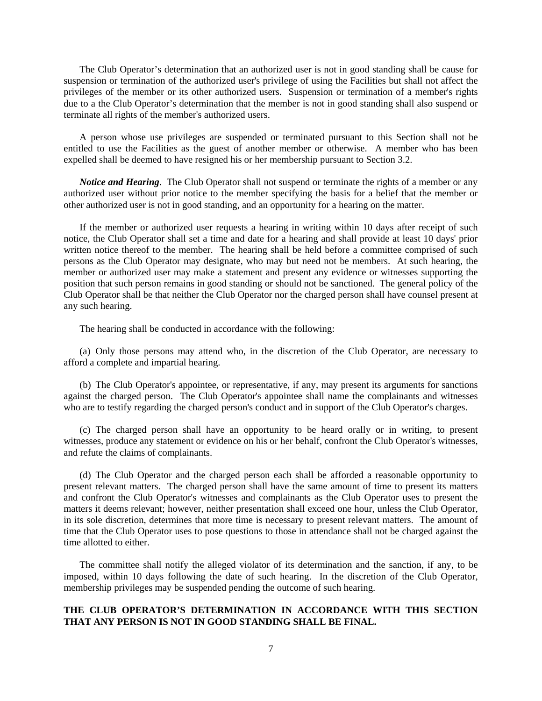The Club Operator's determination that an authorized user is not in good standing shall be cause for suspension or termination of the authorized user's privilege of using the Facilities but shall not affect the privileges of the member or its other authorized users. Suspension or termination of a member's rights due to a the Club Operator's determination that the member is not in good standing shall also suspend or terminate all rights of the member's authorized users.

A person whose use privileges are suspended or terminated pursuant to this Section shall not be entitled to use the Facilities as the guest of another member or otherwise. A member who has been expelled shall be deemed to have resigned his or her membership pursuant to Section 3.2.

*Notice and Hearing.* The Club Operator shall not suspend or terminate the rights of a member or any authorized user without prior notice to the member specifying the basis for a belief that the member or other authorized user is not in good standing, and an opportunity for a hearing on the matter.

If the member or authorized user requests a hearing in writing within 10 days after receipt of such notice, the Club Operator shall set a time and date for a hearing and shall provide at least 10 days' prior written notice thereof to the member. The hearing shall be held before a committee comprised of such persons as the Club Operator may designate, who may but need not be members. At such hearing, the member or authorized user may make a statement and present any evidence or witnesses supporting the position that such person remains in good standing or should not be sanctioned. The general policy of the Club Operator shall be that neither the Club Operator nor the charged person shall have counsel present at any such hearing.

The hearing shall be conducted in accordance with the following:

(a) Only those persons may attend who, in the discretion of the Club Operator, are necessary to afford a complete and impartial hearing.

(b) The Club Operator's appointee, or representative, if any, may present its arguments for sanctions against the charged person. The Club Operator's appointee shall name the complainants and witnesses who are to testify regarding the charged person's conduct and in support of the Club Operator's charges.

(c) The charged person shall have an opportunity to be heard orally or in writing, to present witnesses, produce any statement or evidence on his or her behalf, confront the Club Operator's witnesses, and refute the claims of complainants.

(d) The Club Operator and the charged person each shall be afforded a reasonable opportunity to present relevant matters. The charged person shall have the same amount of time to present its matters and confront the Club Operator's witnesses and complainants as the Club Operator uses to present the matters it deems relevant; however, neither presentation shall exceed one hour, unless the Club Operator, in its sole discretion, determines that more time is necessary to present relevant matters. The amount of time that the Club Operator uses to pose questions to those in attendance shall not be charged against the time allotted to either.

 The committee shall notify the alleged violator of its determination and the sanction, if any, to be imposed, within 10 days following the date of such hearing. In the discretion of the Club Operator, membership privileges may be suspended pending the outcome of such hearing.

# **THE CLUB OPERATOR'S DETERMINATION IN ACCORDANCE WITH THIS SECTION THAT ANY PERSON IS NOT IN GOOD STANDING SHALL BE FINAL.**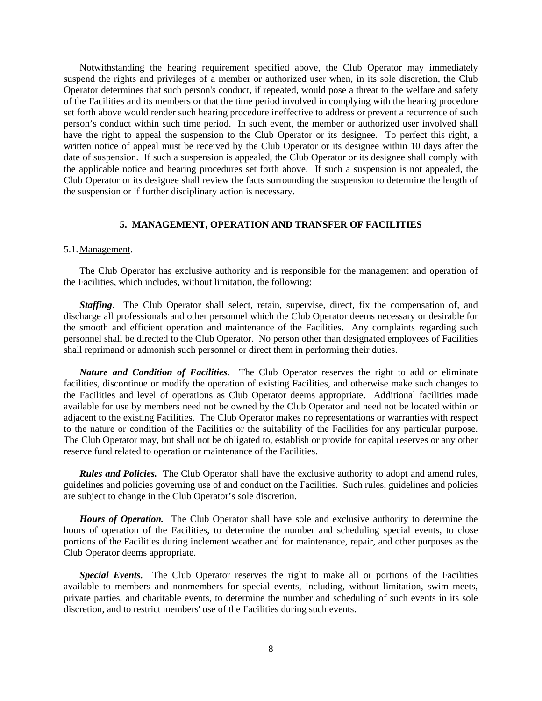Notwithstanding the hearing requirement specified above, the Club Operator may immediately suspend the rights and privileges of a member or authorized user when, in its sole discretion, the Club Operator determines that such person's conduct, if repeated, would pose a threat to the welfare and safety of the Facilities and its members or that the time period involved in complying with the hearing procedure set forth above would render such hearing procedure ineffective to address or prevent a recurrence of such person's conduct within such time period. In such event, the member or authorized user involved shall have the right to appeal the suspension to the Club Operator or its designee. To perfect this right, a written notice of appeal must be received by the Club Operator or its designee within 10 days after the date of suspension. If such a suspension is appealed, the Club Operator or its designee shall comply with the applicable notice and hearing procedures set forth above. If such a suspension is not appealed, the Club Operator or its designee shall review the facts surrounding the suspension to determine the length of the suspension or if further disciplinary action is necessary.

# **5. MANAGEMENT, OPERATION AND TRANSFER OF FACILITIES**

# 5.1. Management.

The Club Operator has exclusive authority and is responsible for the management and operation of the Facilities, which includes, without limitation, the following:

*Staffing*. The Club Operator shall select, retain, supervise, direct, fix the compensation of, and discharge all professionals and other personnel which the Club Operator deems necessary or desirable for the smooth and efficient operation and maintenance of the Facilities. Any complaints regarding such personnel shall be directed to the Club Operator. No person other than designated employees of Facilities shall reprimand or admonish such personnel or direct them in performing their duties.

*Nature and Condition of Facilities*. The Club Operator reserves the right to add or eliminate facilities, discontinue or modify the operation of existing Facilities, and otherwise make such changes to the Facilities and level of operations as Club Operator deems appropriate. Additional facilities made available for use by members need not be owned by the Club Operator and need not be located within or adjacent to the existing Facilities. The Club Operator makes no representations or warranties with respect to the nature or condition of the Facilities or the suitability of the Facilities for any particular purpose. The Club Operator may, but shall not be obligated to, establish or provide for capital reserves or any other reserve fund related to operation or maintenance of the Facilities.

*Rules and Policies.* The Club Operator shall have the exclusive authority to adopt and amend rules, guidelines and policies governing use of and conduct on the Facilities. Such rules, guidelines and policies are subject to change in the Club Operator's sole discretion.

*Hours of Operation.* The Club Operator shall have sole and exclusive authority to determine the hours of operation of the Facilities, to determine the number and scheduling special events, to close portions of the Facilities during inclement weather and for maintenance, repair, and other purposes as the Club Operator deems appropriate.

*Special Events.* The Club Operator reserves the right to make all or portions of the Facilities available to members and nonmembers for special events, including, without limitation, swim meets, private parties, and charitable events, to determine the number and scheduling of such events in its sole discretion, and to restrict members' use of the Facilities during such events.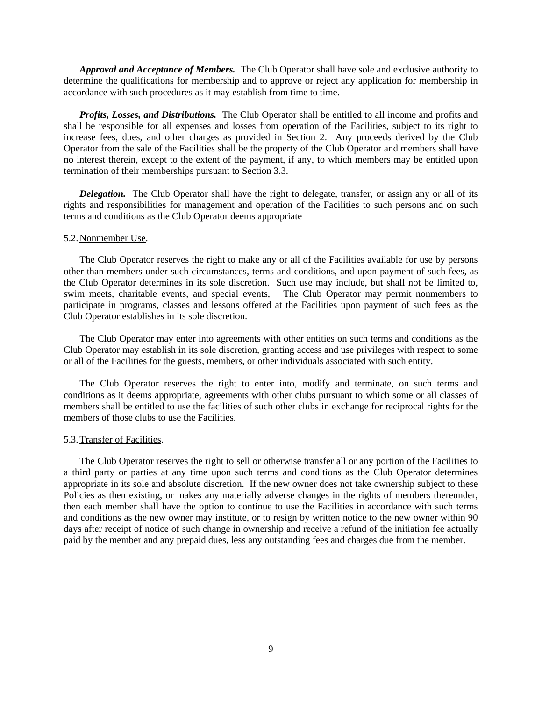*Approval and Acceptance of Members.* The Club Operator shall have sole and exclusive authority to determine the qualifications for membership and to approve or reject any application for membership in accordance with such procedures as it may establish from time to time.

*Profits, Losses, and Distributions.* The Club Operator shall be entitled to all income and profits and shall be responsible for all expenses and losses from operation of the Facilities, subject to its right to increase fees, dues, and other charges as provided in Section 2. Any proceeds derived by the Club Operator from the sale of the Facilities shall be the property of the Club Operator and members shall have no interest therein, except to the extent of the payment, if any, to which members may be entitled upon termination of their memberships pursuant to Section 3.3.

*Delegation.* The Club Operator shall have the right to delegate, transfer, or assign any or all of its rights and responsibilities for management and operation of the Facilities to such persons and on such terms and conditions as the Club Operator deems appropriate

### 5.2. Nonmember Use.

The Club Operator reserves the right to make any or all of the Facilities available for use by persons other than members under such circumstances, terms and conditions, and upon payment of such fees, as the Club Operator determines in its sole discretion. Such use may include, but shall not be limited to, swim meets, charitable events, and special events, The Club Operator may permit nonmembers to participate in programs, classes and lessons offered at the Facilities upon payment of such fees as the Club Operator establishes in its sole discretion.

The Club Operator may enter into agreements with other entities on such terms and conditions as the Club Operator may establish in its sole discretion, granting access and use privileges with respect to some or all of the Facilities for the guests, members, or other individuals associated with such entity.

 The Club Operator reserves the right to enter into, modify and terminate, on such terms and conditions as it deems appropriate, agreements with other clubs pursuant to which some or all classes of members shall be entitled to use the facilities of such other clubs in exchange for reciprocal rights for the members of those clubs to use the Facilities.

# 5.3. Transfer of Facilities.

The Club Operator reserves the right to sell or otherwise transfer all or any portion of the Facilities to a third party or parties at any time upon such terms and conditions as the Club Operator determines appropriate in its sole and absolute discretion. If the new owner does not take ownership subject to these Policies as then existing, or makes any materially adverse changes in the rights of members thereunder, then each member shall have the option to continue to use the Facilities in accordance with such terms and conditions as the new owner may institute, or to resign by written notice to the new owner within 90 days after receipt of notice of such change in ownership and receive a refund of the initiation fee actually paid by the member and any prepaid dues, less any outstanding fees and charges due from the member.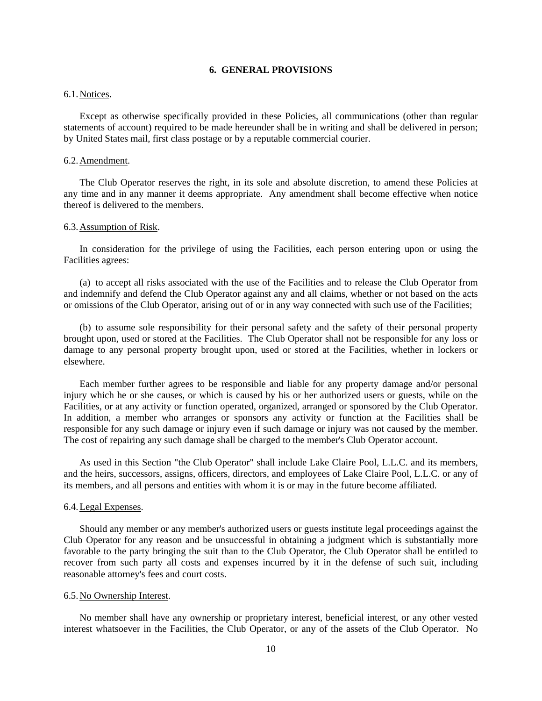# **6. GENERAL PROVISIONS**

# 6.1. Notices.

 Except as otherwise specifically provided in these Policies, all communications (other than regular statements of account) required to be made hereunder shall be in writing and shall be delivered in person; by United States mail, first class postage or by a reputable commercial courier.

# 6.2. Amendment.

The Club Operator reserves the right, in its sole and absolute discretion, to amend these Policies at any time and in any manner it deems appropriate. Any amendment shall become effective when notice thereof is delivered to the members.

#### 6.3. Assumption of Risk.

 In consideration for the privilege of using the Facilities, each person entering upon or using the Facilities agrees:

 (a) to accept all risks associated with the use of the Facilities and to release the Club Operator from and indemnify and defend the Club Operator against any and all claims, whether or not based on the acts or omissions of the Club Operator, arising out of or in any way connected with such use of the Facilities;

 (b) to assume sole responsibility for their personal safety and the safety of their personal property brought upon, used or stored at the Facilities. The Club Operator shall not be responsible for any loss or damage to any personal property brought upon, used or stored at the Facilities, whether in lockers or elsewhere.

 Each member further agrees to be responsible and liable for any property damage and/or personal injury which he or she causes, or which is caused by his or her authorized users or guests, while on the Facilities, or at any activity or function operated, organized, arranged or sponsored by the Club Operator. In addition, a member who arranges or sponsors any activity or function at the Facilities shall be responsible for any such damage or injury even if such damage or injury was not caused by the member. The cost of repairing any such damage shall be charged to the member's Club Operator account.

 As used in this Section "the Club Operator" shall include Lake Claire Pool, L.L.C. and its members, and the heirs, successors, assigns, officers, directors, and employees of Lake Claire Pool, L.L.C. or any of its members, and all persons and entities with whom it is or may in the future become affiliated.

# 6.4. Legal Expenses.

 Should any member or any member's authorized users or guests institute legal proceedings against the Club Operator for any reason and be unsuccessful in obtaining a judgment which is substantially more favorable to the party bringing the suit than to the Club Operator, the Club Operator shall be entitled to recover from such party all costs and expenses incurred by it in the defense of such suit, including reasonable attorney's fees and court costs.

### 6.5. No Ownership Interest.

 No member shall have any ownership or proprietary interest, beneficial interest, or any other vested interest whatsoever in the Facilities, the Club Operator, or any of the assets of the Club Operator. No